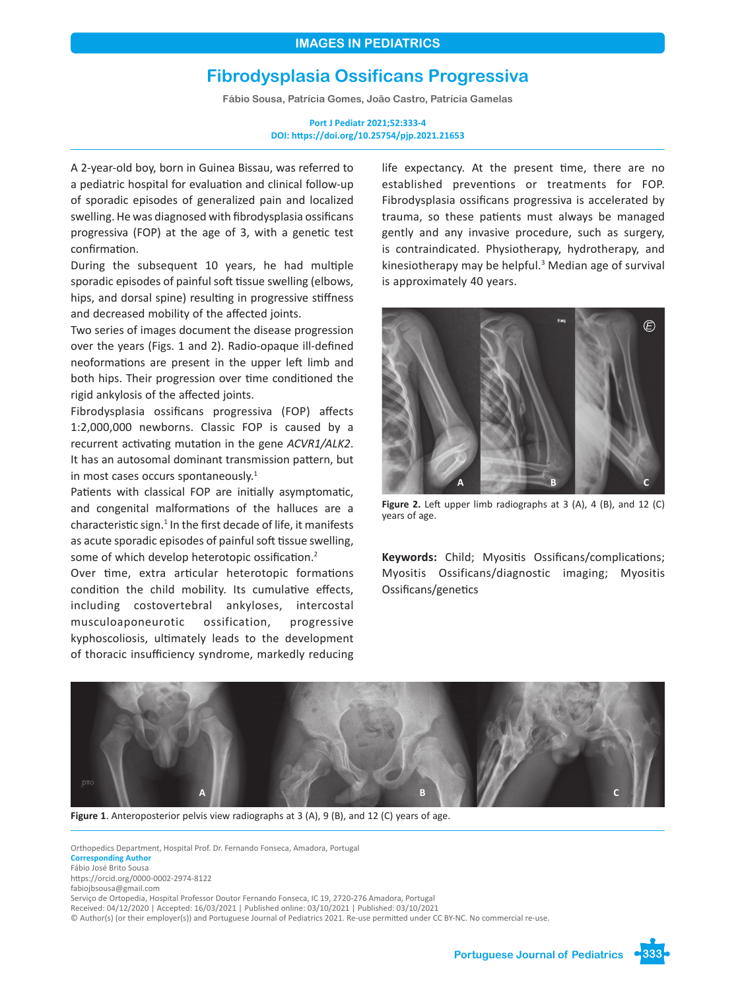# **Fibrodysplasia Ossificans Progressiva**

**Fábio Sousa, Patrícia Gomes, João Castro, Patrícia Gamelas**

**Port J Pediatr 2021;52:333-4 DOI: https://doi.org/10.25754/pjp.2021.21653**

A 2-year-old boy, born in Guinea Bissau, was referred to a pediatric hospital for evaluation and clinical follow-up of sporadic episodes of generalized pain and localized swelling. He was diagnosed with fibrodysplasia ossificans progressiva (FOP) at the age of 3, with a genetic test confirmation.

During the subsequent 10 years, he had multiple sporadic episodes of painful soft tissue swelling (elbows, hips, and dorsal spine) resulting in progressive stiffness and decreased mobility of the affected joints.

Two series of images document the disease progression over the years (Figs. 1 and 2). Radio-opaque ill-defined neoformations are present in the upper left limb and both hips. Their progression over time conditioned the rigid ankylosis of the affected joints.

Fibrodysplasia ossificans progressiva (FOP) affects 1:2,000,000 newborns. Classic FOP is caused by a recurrent activating mutation in the gene *ACVR1/ALK2*. It has an autosomal dominant transmission pattern, but in most cases occurs spontaneously.<sup>1</sup>

Patients with classical FOP are initially asymptomatic, and congenital malformations of the halluces are a characteristic sign.<sup>1</sup> In the first decade of life, it manifests as acute sporadic episodes of painful soft tissue swelling, some of which develop heterotopic ossification.<sup>2</sup>

Over time, extra articular heterotopic formations condition the child mobility. Its cumulative effects, including costovertebral ankyloses, intercostal musculoaponeurotic ossification, progressive kyphoscoliosis, ultimately leads to the development of thoracic insufficiency syndrome, markedly reducing life expectancy. At the present time, there are no established preventions or treatments for FOP. Fibrodysplasia ossificans progressiva is accelerated by trauma, so these patients must always be managed gently and any invasive procedure, such as surgery, is contraindicated. Physiotherapy, hydrotherapy, and kinesiotherapy may be helpful.<sup>3</sup> Median age of survival is approximately 40 years.



**Figure 2.** Left upper limb radiographs at 3 (A), 4 (B), and 12 (C) years of age.

**Keywords:** Child; Myositis Ossificans/complications; Myositis Ossificans/diagnostic imaging; Myositis Ossificans/genetics



**Figure 1**. Anteroposterior pelvis view radiographs at 3 (A), 9 (B), and 12 (C) years of age.

Orthopedics Department, Hospital Prof. Dr. Fernando Fonseca, Amadora, Portugal **Corresponding Author** Fábio José Brito Sousa https://orcid.org/0000-0002-2974-8122 fabiojbsousa@gmail.com Serviço de Ortopedia, Hospital Professor Doutor Fernando Fonseca, IC 19, 2720-276 Amadora, Portugal Received: 04/12/2020 | Accepted: 16/03/2021 | Published online: 03/10/2021 | Published: 03/10/2021

© Author(s) (or their employer(s)) and Portuguese Journal of Pediatrics 2021. Re-use permitted under CC BY-NC. No commercial re-use.